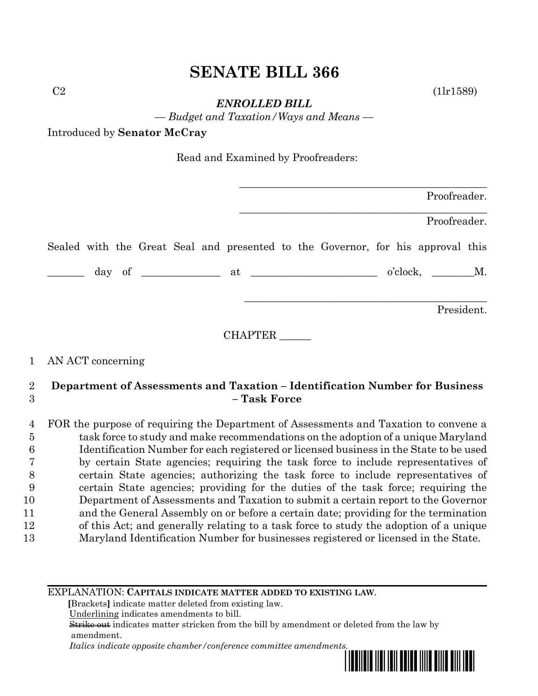## **SENATE BILL 366**

*ENROLLED BILL*

*— Budget and Taxation/Ways and Means —*

Introduced by **Senator McCray**

Read and Examined by Proofreaders:

|                                                                                 | Proofreader.     |
|---------------------------------------------------------------------------------|------------------|
|                                                                                 | Proofreader.     |
| Sealed with the Great Seal and presented to the Governor, for his approval this |                  |
|                                                                                 | $o'clock, \t M.$ |
|                                                                                 | President.       |
| CHAPTER                                                                         |                  |

## 1 AN ACT concerning

## 2 **Department of Assessments and Taxation – Identification Number for Business**  3 **– Task Force**

 FOR the purpose of requiring the Department of Assessments and Taxation to convene a task force to study and make recommendations on the adoption of a unique Maryland Identification Number for each registered or licensed business in the State to be used by certain State agencies; requiring the task force to include representatives of certain State agencies; authorizing the task force to include representatives of certain State agencies; providing for the duties of the task force; requiring the Department of Assessments and Taxation to submit a certain report to the Governor and the General Assembly on or before a certain date; providing for the termination of this Act; and generally relating to a task force to study the adoption of a unique Maryland Identification Number for businesses registered or licensed in the State.

EXPLANATION: **CAPITALS INDICATE MATTER ADDED TO EXISTING LAW**.

 **[**Brackets**]** indicate matter deleted from existing law.

Underlining indicates amendments to bill.

 Strike out indicates matter stricken from the bill by amendment or deleted from the law by amendment.

 *Italics indicate opposite chamber/conference committee amendments.*



 $C2$  (1lr1589)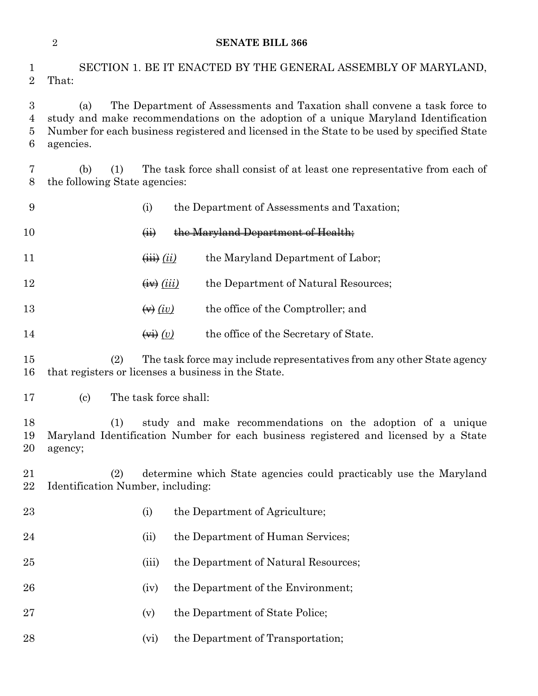**SENATE BILL 366**

 SECTION 1. BE IT ENACTED BY THE GENERAL ASSEMBLY OF MARYLAND, That:

 (a) The Department of Assessments and Taxation shall convene a task force to study and make recommendations on the adoption of a unique Maryland Identification Number for each business registered and licensed in the State to be used by specified State agencies.

 (b) (1) The task force shall consist of at least one representative from each of the following State agencies:

- (i) the Department of Assessments and Taxation;
- **(iii)** the Maryland Department of Health;
- 11 (iiii) *(iii)* the Maryland Department of Labor;
- 12  $\leftarrow$   $\leftarrow$  *(iii)* the Department of Natural Resources;
- 13  $\leftrightarrow(iv)$  the office of the Comptroller; and
- 14  $(v_i)(v_j)$  the office of the Secretary of State.
- (2) The task force may include representatives from any other State agency that registers or licenses a business in the State.
- (c) The task force shall:

 (1) study and make recommendations on the adoption of a unique Maryland Identification Number for each business registered and licensed by a State agency;

 (2) determine which State agencies could practicably use the Maryland Identification Number, including:

- 23 (i) the Department of Agriculture;
- 24 (ii) the Department of Human Services;
- 25 (iii) the Department of Natural Resources;
- 26 (iv) the Department of the Environment;
- (v) the Department of State Police;
- (vi) the Department of Transportation;